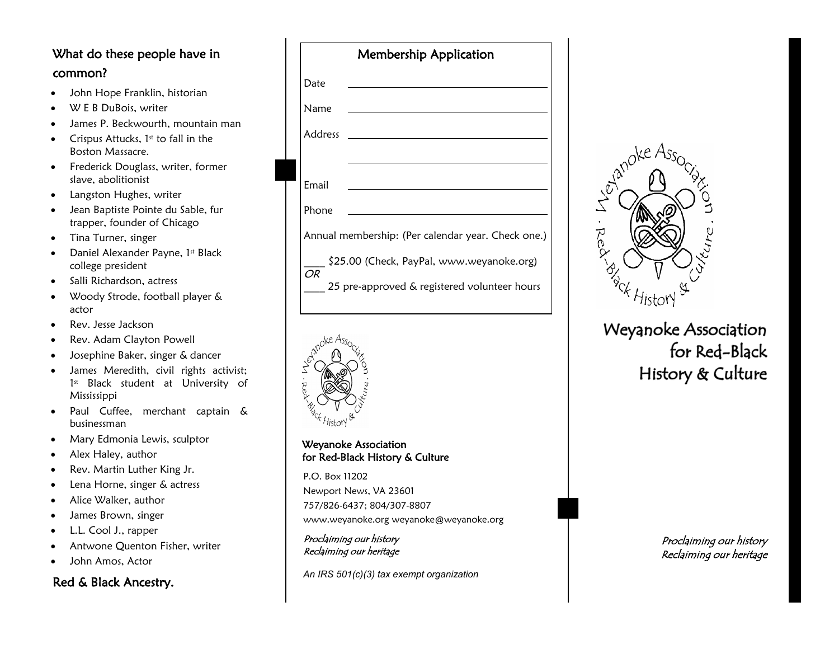## What do these people have in common?

- John Hope Franklin, historian
- W E B DuBois, writer
- James P. Beckwourth, mountain man
- Crispus Attucks,  $1<sup>st</sup>$  to fall in the Boston Massacre.
- Frederick Douglass, writer, former slave, abolitionist
- Langston Hughes, writer
- Jean Baptiste Pointe du Sable, fur trapper, founder of Chicago
- Tina Turner, singer
- Daniel Alexander Payne,  $1<sup>st</sup>$  Black college president
- Salli Richardson, actress
- Woody Strode, football player & actor
- Rev. Jesse Jackson
- Rev. Adam Clayton Powell
- Josephine Baker, singer & dancer
- James Meredith, civil rights activist; 1 st Black student at University of Mississippi
- Paul Cuffee, merchant captain & businessman
- Mary Edmonia Lewis, sculptor
- Alex Haley, author
- Rev. Martin Luther King Jr.
- Lena Horne, singer & actress
- Alice Walker, author
- James Brown, singer
- L.L. Cool J., rapper
- Antwone Quenton Fisher, writer
- John Amos, Actor

#### Red & Black Ancestry.

| <b>Membership Application</b>                      |                                              |
|----------------------------------------------------|----------------------------------------------|
| Date                                               |                                              |
| Name                                               |                                              |
| Address                                            |                                              |
|                                                    |                                              |
| Email                                              |                                              |
| Phone                                              |                                              |
| Annual membership: (Per calendar year. Check one.) |                                              |
| \$25.00 (Check, PayPal, www.weyanoke.org)<br>OR    |                                              |
|                                                    | 25 pre-approved & registered volunteer hours |



Weyanoke Association for Red -Black History & Culture

P.O. Box 11202 Newport News, VA 23601 757/826 -6437; 804/307 -8807 www.weyanoke.org weyanoke@weyanoke.org

Proclaiming our history Reclaiming our heritage

*An IRS 501(c)(3) tax exempt organization*



**Weyanoke Association** for Red-Black History & Culture

Proclaiming our history Reclaiming our heritage